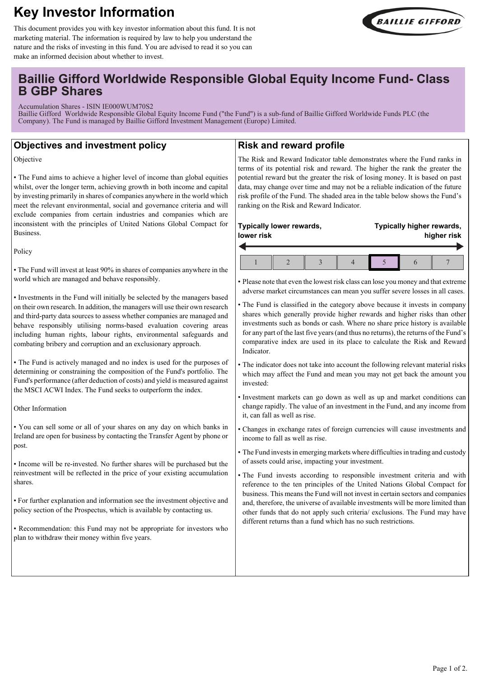# **Key Investor Information**



This document provides you with key investor information about this fund. It is not marketing material. The information is required by law to help you understand the nature and the risks of investing in this fund. You are advised to read it so you can make an informed decision about whether to invest.

## **Baillie Gifford Worldwide Responsible Global Equity Income Fund- Class B GBP Shares**

Accumulation Shares - ISIN IE000WUM70S2

Baillie Gifford Worldwide Responsible Global Equity Income Fund ("the Fund") is a sub-fund of Baillie Gifford Worldwide Funds PLC (the Company). The Fund is managed by Baillie Gifford Investment Management (Europe) Limited.

## **Objectives and investment policy**

Objective

• The Fund aims to achieve a higher level of income than global equities whilst, over the longer term, achieving growth in both income and capital by investing primarily in shares of companies anywhere in the world which meet the relevant environmental, social and governance criteria and will exclude companies from certain industries and companies which are inconsistent with the principles of United Nations Global Compact for Business.

Policy

• The Fund will invest at least 90% in shares of companies anywhere in the world which are managed and behave responsibly.

• Investments in the Fund will initially be selected by the managers based on their own research. In addition, the managers will use their own research and third-party data sources to assess whether companies are managed and behave responsibly utilising norms-based evaluation covering areas including human rights, labour rights, environmental safeguards and combating bribery and corruption and an exclusionary approach.

• The Fund is actively managed and no index is used for the purposes of determining or constraining the composition of the Fund's portfolio. The Fund's performance (after deduction of costs) and yield is measured against the MSCI ACWI Index. The Fund seeks to outperform the index.

Other Information

• You can sell some or all of your shares on any day on which banks in Ireland are open for business by contacting the Transfer Agent by phone or post.

• Income will be re-invested. No further shares will be purchased but the reinvestment will be reflected in the price of your existing accumulation shares.

• For further explanation and information see the investment objective and policy section of the Prospectus, which is available by contacting us.

• Recommendation: this Fund may not be appropriate for investors who plan to withdraw their money within five years.

## **Risk and reward profile**

The Risk and Reward Indicator table demonstrates where the Fund ranks in terms of its potential risk and reward. The higher the rank the greater the potential reward but the greater the risk of losing money. It is based on past data, may change over time and may not be a reliable indication of the future risk profile of the Fund. The shaded area in the table below shows the Fund's ranking on the Risk and Reward Indicator.

| Typically lower rewards,<br>lower risk |  |  | Typically higher rewards,<br>higher risk |  |  |
|----------------------------------------|--|--|------------------------------------------|--|--|
|                                        |  |  |                                          |  |  |

• Please note that even the lowest risk class can lose you money and that extreme adverse market circumstances can mean you suffer severe losses in all cases.

- The Fund is classified in the category above because it invests in company shares which generally provide higher rewards and higher risks than other investments such as bonds or cash. Where no share price history is available for any part of the last five years (and thus no returns), the returns of the Fund's comparative index are used in its place to calculate the Risk and Reward Indicator.
- The indicator does not take into account the following relevant material risks which may affect the Fund and mean you may not get back the amount you invested:
- Investment markets can go down as well as up and market conditions can change rapidly. The value of an investment in the Fund, and any income from it, can fall as well as rise.
- Changes in exchange rates of foreign currencies will cause investments and income to fall as well as rise.
- The Fund invests in emerging markets where difficulties in trading and custody of assets could arise, impacting your investment.
- The Fund invests according to responsible investment criteria and with reference to the ten principles of the United Nations Global Compact for business. This means the Fund will not invest in certain sectors and companies and, therefore, the universe of available investments will be more limited than other funds that do not apply such criteria/ exclusions. The Fund may have different returns than a fund which has no such restrictions.